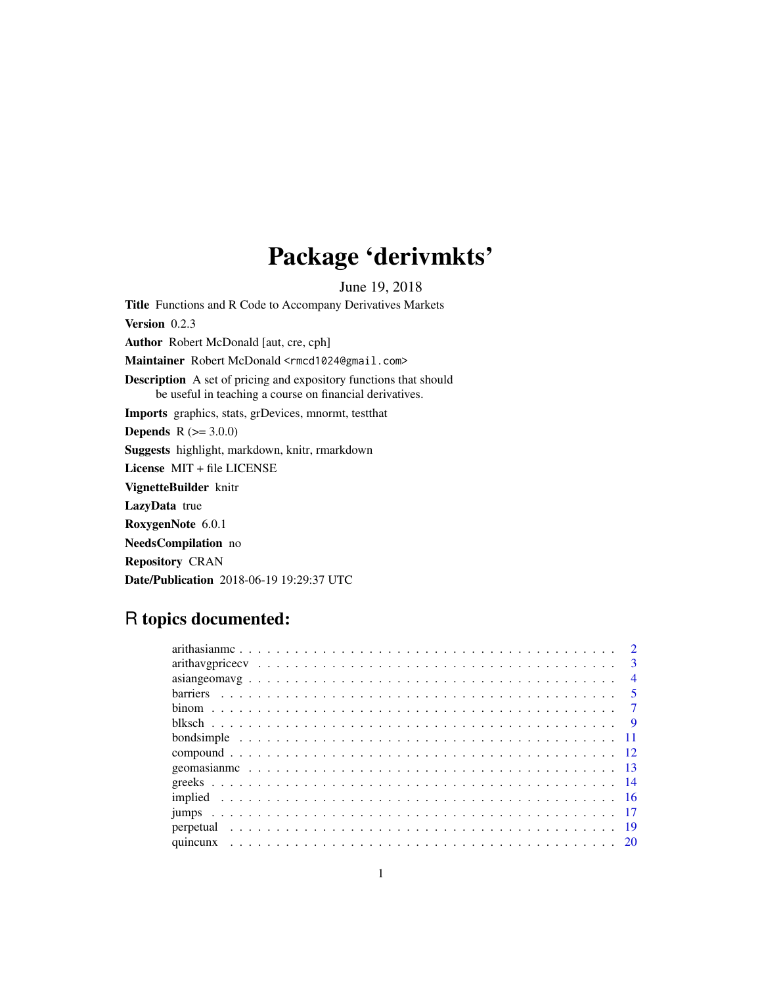## Package 'derivmkts'

June 19, 2018

Title Functions and R Code to Accompany Derivatives Markets Version 0.2.3 Author Robert McDonald [aut, cre, cph] Maintainer Robert McDonald <rmcd1024@gmail.com> Description A set of pricing and expository functions that should be useful in teaching a course on financial derivatives. Imports graphics, stats, grDevices, mnormt, testthat **Depends**  $R (= 3.0.0)$ Suggests highlight, markdown, knitr, rmarkdown License MIT + file LICENSE VignetteBuilder knitr LazyData true RoxygenNote 6.0.1 NeedsCompilation no Repository CRAN Date/Publication 2018-06-19 19:29:37 UTC

### R topics documented:

|  |  |  |  |  |  |  |  |  |  |  |  |  |  |  |  |  |  |  | $\overline{\mathbf{3}}$ |
|--|--|--|--|--|--|--|--|--|--|--|--|--|--|--|--|--|--|--|-------------------------|
|  |  |  |  |  |  |  |  |  |  |  |  |  |  |  |  |  |  |  | $\overline{4}$          |
|  |  |  |  |  |  |  |  |  |  |  |  |  |  |  |  |  |  |  |                         |
|  |  |  |  |  |  |  |  |  |  |  |  |  |  |  |  |  |  |  |                         |
|  |  |  |  |  |  |  |  |  |  |  |  |  |  |  |  |  |  |  |                         |
|  |  |  |  |  |  |  |  |  |  |  |  |  |  |  |  |  |  |  |                         |
|  |  |  |  |  |  |  |  |  |  |  |  |  |  |  |  |  |  |  |                         |
|  |  |  |  |  |  |  |  |  |  |  |  |  |  |  |  |  |  |  |                         |
|  |  |  |  |  |  |  |  |  |  |  |  |  |  |  |  |  |  |  |                         |
|  |  |  |  |  |  |  |  |  |  |  |  |  |  |  |  |  |  |  |                         |
|  |  |  |  |  |  |  |  |  |  |  |  |  |  |  |  |  |  |  |                         |
|  |  |  |  |  |  |  |  |  |  |  |  |  |  |  |  |  |  |  |                         |
|  |  |  |  |  |  |  |  |  |  |  |  |  |  |  |  |  |  |  |                         |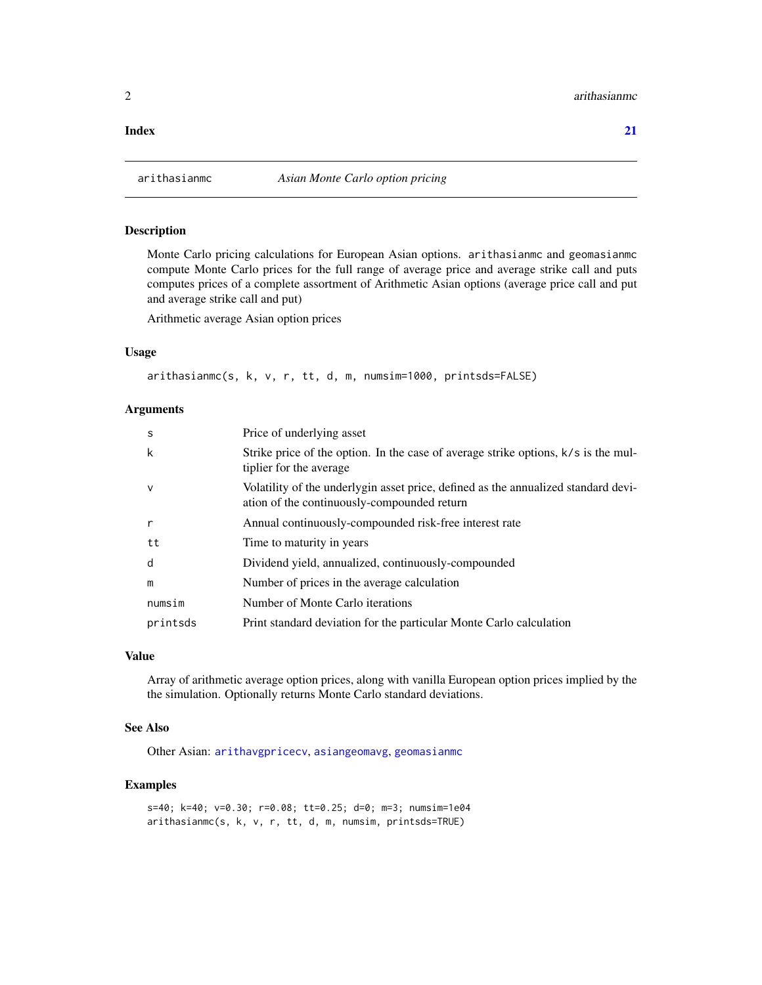#### <span id="page-1-0"></span>**Index** [21](#page-20-0)

<span id="page-1-1"></span>

#### Description

Monte Carlo pricing calculations for European Asian options. arithasianmc and geomasianmc compute Monte Carlo prices for the full range of average price and average strike call and puts computes prices of a complete assortment of Arithmetic Asian options (average price call and put and average strike call and put)

Arithmetic average Asian option prices

#### Usage

arithasianmc(s, k, v, r, tt, d, m, numsim=1000, printsds=FALSE)

#### Arguments

| -S           | Price of underlying asset                                                                                                         |
|--------------|-----------------------------------------------------------------------------------------------------------------------------------|
| k            | Strike price of the option. In the case of average strike options, k/s is the mul-<br>tiplier for the average                     |
| $\mathsf{V}$ | Volatility of the underlygin asset price, defined as the annualized standard devi-<br>ation of the continuously-compounded return |
| r            | Annual continuously-compounded risk-free interest rate                                                                            |
| tt           | Time to maturity in years                                                                                                         |
| d            | Dividend yield, annualized, continuously-compounded                                                                               |
| m            | Number of prices in the average calculation                                                                                       |
| numsim       | Number of Monte Carlo iterations                                                                                                  |
| printsds     | Print standard deviation for the particular Monte Carlo calculation                                                               |

#### Value

Array of arithmetic average option prices, along with vanilla European option prices implied by the the simulation. Optionally returns Monte Carlo standard deviations.

#### See Also

Other Asian: [arithavgpricecv](#page-2-1), [asiangeomavg](#page-3-1), [geomasianmc](#page-12-1)

#### Examples

s=40; k=40; v=0.30; r=0.08; tt=0.25; d=0; m=3; numsim=1e04 arithasianmc(s, k, v, r, tt, d, m, numsim, printsds=TRUE)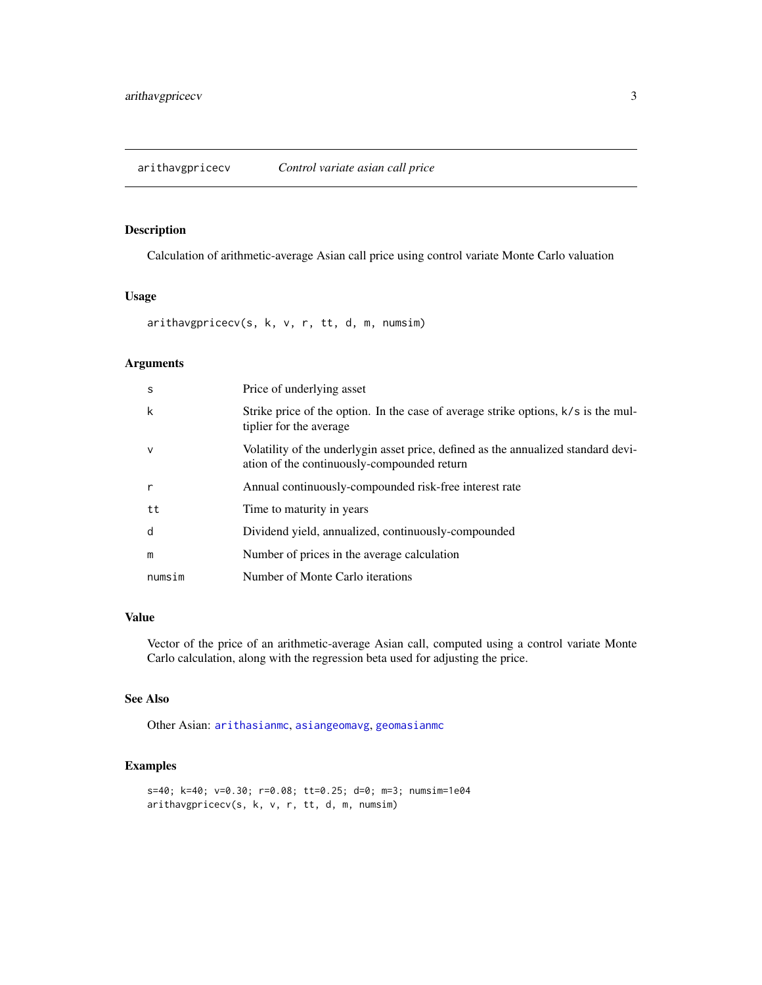#### <span id="page-2-1"></span><span id="page-2-0"></span>Description

Calculation of arithmetic-average Asian call price using control variate Monte Carlo valuation

#### Usage

arithavgpricecv(s, k, v, r, tt, d, m, numsim)

#### Arguments

| S            | Price of underlying asset                                                                                                         |
|--------------|-----------------------------------------------------------------------------------------------------------------------------------|
| k            | Strike price of the option. In the case of average strike options, k/s is the mul-<br>tiplier for the average                     |
| $\vee$       | Volatility of the underlygin asset price, defined as the annualized standard devi-<br>ation of the continuously-compounded return |
| $\mathsf{r}$ | Annual continuously-compounded risk-free interest rate                                                                            |
| tt           | Time to maturity in years                                                                                                         |
| d            | Dividend yield, annualized, continuously-compounded                                                                               |
| m            | Number of prices in the average calculation                                                                                       |
| numsim       | Number of Monte Carlo iterations                                                                                                  |

#### Value

Vector of the price of an arithmetic-average Asian call, computed using a control variate Monte Carlo calculation, along with the regression beta used for adjusting the price.

#### See Also

Other Asian: [arithasianmc](#page-1-1), [asiangeomavg](#page-3-1), [geomasianmc](#page-12-1)

```
s=40; k=40; v=0.30; r=0.08; tt=0.25; d=0; m=3; numsim=1e04
arithavgpricecv(s, k, v, r, tt, d, m, numsim)
```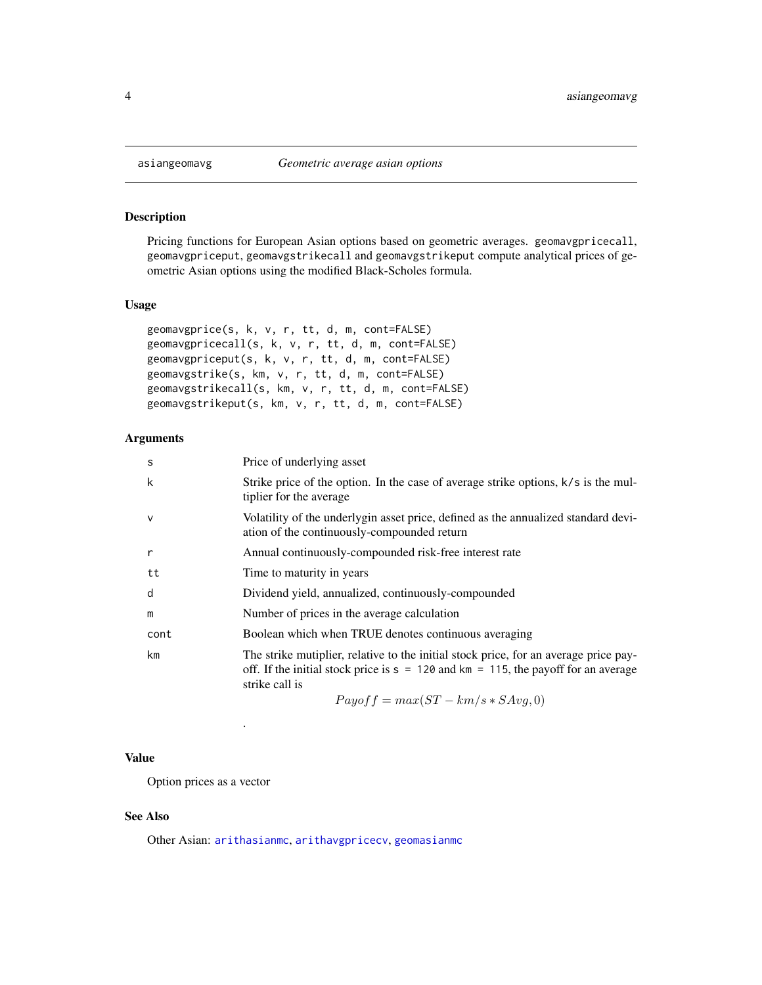#### Description

Pricing functions for European Asian options based on geometric averages. geomavgpricecall, geomavgpriceput, geomavgstrikecall and geomavgstrikeput compute analytical prices of geometric Asian options using the modified Black-Scholes formula.

#### Usage

```
geomavgprice(s, k, v, r, tt, d, m, cont=FALSE)
geomavgpricecall(s, k, v, r, tt, d, m, cont=FALSE)
geomavgpriceput(s, k, v, r, tt, d, m, cont=FALSE)
geomavgstrike(s, km, v, r, tt, d, m, cont=FALSE)
geomavgstrikecall(s, km, v, r, tt, d, m, cont=FALSE)
geomavgstrikeput(s, km, v, r, tt, d, m, cont=FALSE)
```
#### Arguments

| S            | Price of underlying asset                                                                                                                                                                      |
|--------------|------------------------------------------------------------------------------------------------------------------------------------------------------------------------------------------------|
| k            | Strike price of the option. In the case of average strike options, k/s is the mul-<br>tiplier for the average                                                                                  |
| $\mathsf{v}$ | Volatility of the underlygin asset price, defined as the annualized standard devi-<br>ation of the continuously-compounded return                                                              |
| $\mathsf{r}$ | Annual continuously-compounded risk-free interest rate                                                                                                                                         |
| tt           | Time to maturity in years                                                                                                                                                                      |
| d            | Dividend yield, annualized, continuously-compounded                                                                                                                                            |
| m            | Number of prices in the average calculation                                                                                                                                                    |
| cont         | Boolean which when TRUE denotes continuous averaging                                                                                                                                           |
| km           | The strike mutiplier, relative to the initial stock price, for an average price pay-<br>off. If the initial stock price is $s = 120$ and km = 115, the payoff for an average<br>strike call is |
|              | $Payoff = max(ST - km/s * SAvg, 0)$                                                                                                                                                            |

#### Value

Option prices as a vector

.

#### See Also

Other Asian: [arithasianmc](#page-1-1), [arithavgpricecv](#page-2-1), [geomasianmc](#page-12-1)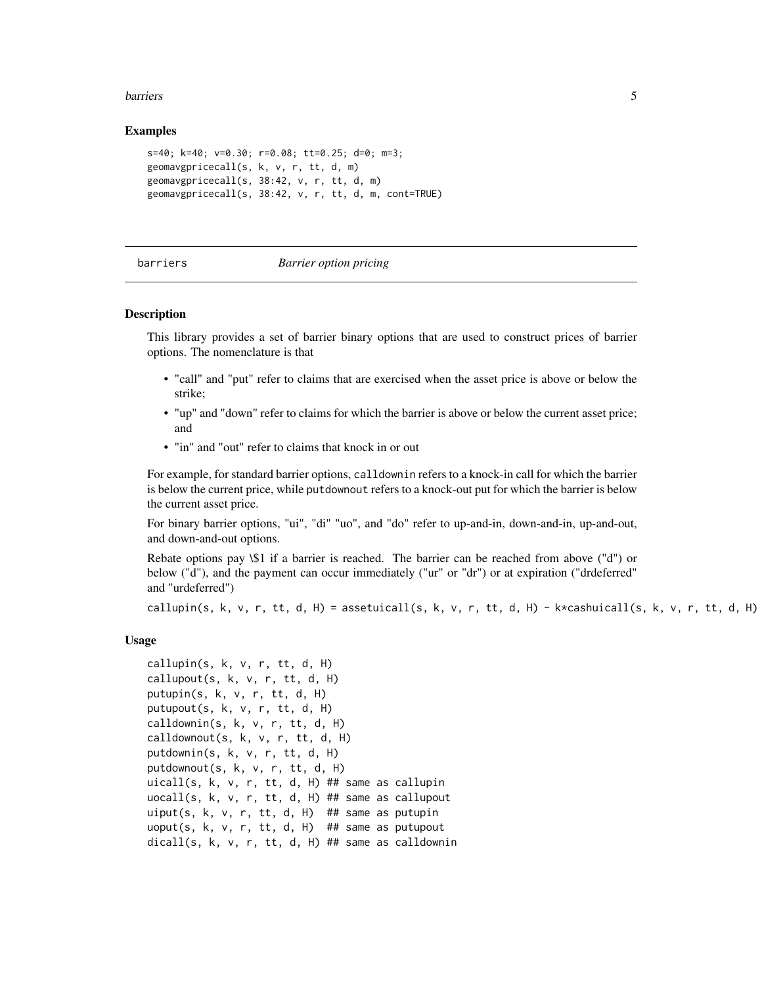#### <span id="page-4-0"></span>**barriers** 5

#### Examples

```
s=40; k=40; v=0.30; r=0.08; tt=0.25; d=0; m=3;
geomavgpricecall(s, k, v, r, tt, d, m)
geomavgpricecall(s, 38:42, v, r, tt, d, m)
geomavgpricecall(s, 38:42, v, r, tt, d, m, cont=TRUE)
```
#### barriers *Barrier option pricing*

#### Description

This library provides a set of barrier binary options that are used to construct prices of barrier options. The nomenclature is that

- "call" and "put" refer to claims that are exercised when the asset price is above or below the strike;
- "up" and "down" refer to claims for which the barrier is above or below the current asset price; and
- "in" and "out" refer to claims that knock in or out

For example, for standard barrier options, calldownin refers to a knock-in call for which the barrier is below the current price, while putdownout refers to a knock-out put for which the barrier is below the current asset price.

For binary barrier options, "ui", "di" "uo", and "do" refer to up-and-in, down-and-in, up-and-out, and down-and-out options.

Rebate options pay \\$1 if a barrier is reached. The barrier can be reached from above ("d") or below ("d"), and the payment can occur immediately ("ur" or "dr") or at expiration ("drdeferred" and "urdeferred")

callupin(s, k, v, r, tt, d, H) = assetuicall(s, k, v, r, tt, d, H) - k\*cashuicall(s, k, v, r, tt, d, H)

#### Usage

```
callupin(s, k, v, r, tt, d, H)
callupout(s, k, v, r, tt, d, H)
putupin(s, k, v, r, tt, d, H)
putupout(s, k, v, r, tt, d, H)
calldownin(s, k, v, r, tt, d, H)
calldownout(s, k, v, r, tt, d, H)
putdownin(s, k, v, r, tt, d, H)
putdownout(s, k, v, r, tt, d, H)
uicall(s, k, v, r, tt, d, H) ## same as callupin
uocall(s, k, v, r, tt, d, H) ## same as callupout
uiput(s, k, v, r, tt, d, H) ## same as putupin
uoput(s, k, v, r, tt, d, H) ## same as putupout
dicall(s, k, v, r, tt, d, H) ## same as calldownin
```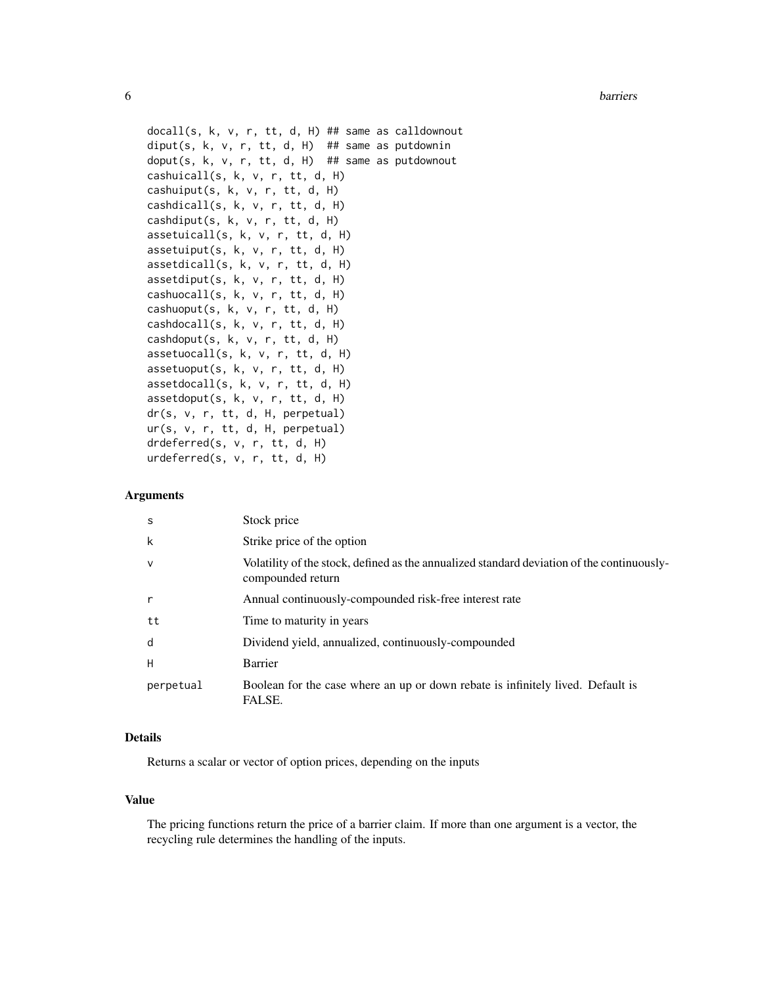**6** barriers **barriers barriers barriers barriers barriers barriers** 

```
docall(s, k, v, r, tt, d, H) ## same as calldownout
diput(s, k, v, r, tt, d, H) ## same as putdownin
doput(s, k, v, r, tt, d, H) ## same as putdownout
cashuicall(s, k, v, r, tt, d, H)
cashuiput(s, k, v, r, tt, d, H)
cashdicall(s, k, v, r, tt, d, H)
cashdiput(s, k, v, r, tt, d, H)
assetuicall(s, k, v, r, tt, d, H)
assetuiput(s, k, v, r, tt, d, H)
assetdicall(s, k, v, r, tt, d, H)
assetdiput(s, k, v, r, tt, d, H)
cashuocall(s, k, v, r, tt, d, H)
cashuoput(s, k, v, r, tt, d, H)
cashdocall(s, k, v, r, tt, d, H)
cashdoput(s, k, v, r, tt, d, H)
assetuocall(s, k, v, r, tt, d, H)
assetuoput(s, k, v, r, tt, d, H)
assetdocall(s, k, v, r, tt, d, H)
assetdoput(s, k, v, r, tt, d, H)
dr(s, v, r, tt, d, H, perpetual)
ur(s, v, r, tt, d, H, perpetual)
drdeferred(s, v, r, tt, d, H)
urdeferred(s, v, r, tt, d, H)
```
#### Arguments

| S            | Stock price                                                                                                     |
|--------------|-----------------------------------------------------------------------------------------------------------------|
| k            | Strike price of the option                                                                                      |
| $\mathsf{V}$ | Volatility of the stock, defined as the annualized standard deviation of the continuously-<br>compounded return |
|              | Annual continuously-compounded risk-free interest rate                                                          |
| tt           | Time to maturity in years                                                                                       |
| d            | Dividend yield, annualized, continuously-compounded                                                             |
| Н            | Barrier                                                                                                         |
| perpetual    | Boolean for the case where an up or down rebate is infinitely lived. Default is<br>FALSE.                       |

#### Details

Returns a scalar or vector of option prices, depending on the inputs

#### Value

The pricing functions return the price of a barrier claim. If more than one argument is a vector, the recycling rule determines the handling of the inputs.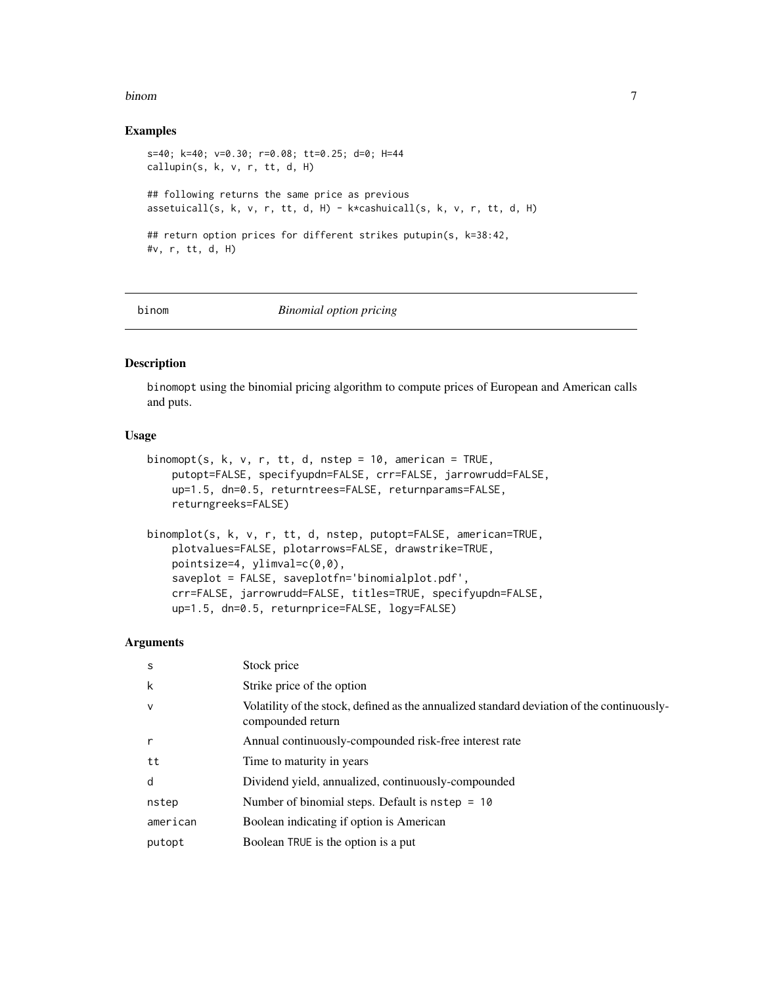#### <span id="page-6-0"></span>binom and the contract of the contract of the contract of the contract of the contract of the contract of the contract of the contract of the contract of the contract of the contract of the contract of the contract of the

#### Examples

```
s=40; k=40; v=0.30; r=0.08; tt=0.25; d=0; H=44
callupin(s, k, v, r, tt, d, H)
## following returns the same price as previous
assetuicall(s, k, v, r, tt, d, H) - k*cashuicall(s, k, v, r, tt, d, H)
## return option prices for different strikes putupin(s, k=38:42,
#v, r, tt, d, H)
```
binom *Binomial option pricing*

#### Description

binomopt using the binomial pricing algorithm to compute prices of European and American calls and puts.

#### Usage

```
binomopt(s, k, v, r, tt, d, nstep = 10, american = TRUE,
   putopt=FALSE, specifyupdn=FALSE, crr=FALSE, jarrowrudd=FALSE,
   up=1.5, dn=0.5, returntrees=FALSE, returnparams=FALSE,
   returngreeks=FALSE)
binomplot(s, k, v, r, tt, d, nstep, putopt=FALSE, american=TRUE,
   plotvalues=FALSE, plotarrows=FALSE, drawstrike=TRUE,
```

```
pointsize=4, ylimval=c(0,0),
saveplot = FALSE, saveplotfn='binomialplot.pdf',
crr=FALSE, jarrowrudd=FALSE, titles=TRUE, specifyupdn=FALSE,
up=1.5, dn=0.5, returnprice=FALSE, logy=FALSE)
```
#### Arguments

| S            | Stock price                                                                                                     |
|--------------|-----------------------------------------------------------------------------------------------------------------|
| k            | Strike price of the option                                                                                      |
| $\mathsf{v}$ | Volatility of the stock, defined as the annualized standard deviation of the continuously-<br>compounded return |
| $\mathsf{r}$ | Annual continuously-compounded risk-free interest rate                                                          |
| tt           | Time to maturity in years                                                                                       |
| d            | Dividend yield, annualized, continuously-compounded                                                             |
| nstep        | Number of binomial steps. Default is $nstep = 10$                                                               |
| american     | Boolean indicating if option is American                                                                        |
| putopt       | Boolean TRUE is the option is a put                                                                             |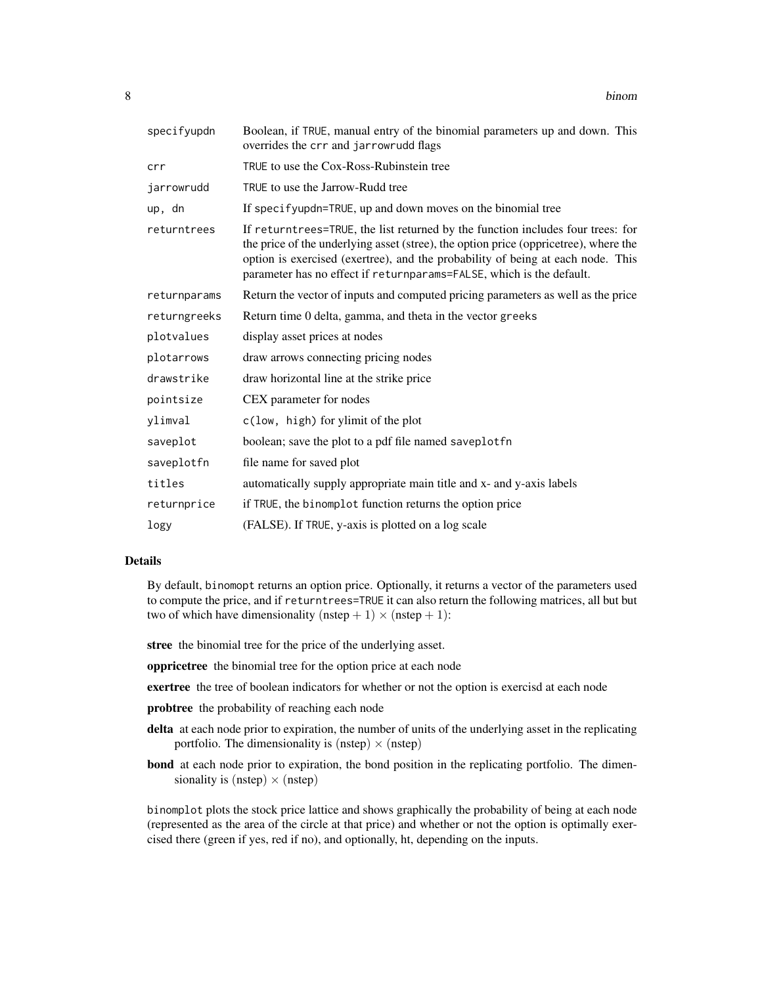| specifyupdn  | Boolean, if TRUE, manual entry of the binomial parameters up and down. This<br>overrides the crr and jarrowrudd flags                                                                                                                                                                                                              |
|--------------|------------------------------------------------------------------------------------------------------------------------------------------------------------------------------------------------------------------------------------------------------------------------------------------------------------------------------------|
| crr          | TRUE to use the Cox-Ross-Rubinstein tree                                                                                                                                                                                                                                                                                           |
| jarrowrudd   | TRUE to use the Jarrow-Rudd tree                                                                                                                                                                                                                                                                                                   |
| up, dn       | If specifyupdn=TRUE, up and down moves on the binomial tree                                                                                                                                                                                                                                                                        |
| returntrees  | If returntrees=TRUE, the list returned by the function includes four trees: for<br>the price of the underlying asset (stree), the option price (oppricetree), where the<br>option is exercised (exertree), and the probability of being at each node. This<br>parameter has no effect if returnparams=FALSE, which is the default. |
| returnparams | Return the vector of inputs and computed pricing parameters as well as the price                                                                                                                                                                                                                                                   |
| returngreeks | Return time 0 delta, gamma, and theta in the vector greeks                                                                                                                                                                                                                                                                         |
| plotvalues   | display asset prices at nodes                                                                                                                                                                                                                                                                                                      |
| plotarrows   | draw arrows connecting pricing nodes                                                                                                                                                                                                                                                                                               |
| drawstrike   | draw horizontal line at the strike price                                                                                                                                                                                                                                                                                           |
| pointsize    | CEX parameter for nodes                                                                                                                                                                                                                                                                                                            |
| ylimval      | c(low, high) for ylimit of the plot                                                                                                                                                                                                                                                                                                |
| saveplot     | boolean; save the plot to a pdf file named saveplotfn                                                                                                                                                                                                                                                                              |
| saveplotfn   | file name for saved plot                                                                                                                                                                                                                                                                                                           |
| titles       | automatically supply appropriate main title and x- and y-axis labels                                                                                                                                                                                                                                                               |
| returnprice  | if TRUE, the binomplot function returns the option price                                                                                                                                                                                                                                                                           |
| logy         | (FALSE). If TRUE, y-axis is plotted on a log scale                                                                                                                                                                                                                                                                                 |

#### Details

By default, binomopt returns an option price. Optionally, it returns a vector of the parameters used to compute the price, and if returntrees=TRUE it can also return the following matrices, all but but two of which have dimensionality (nstep  $+ 1$ )  $\times$  (nstep  $+ 1$ ):

stree the binomial tree for the price of the underlying asset.

oppricetree the binomial tree for the option price at each node

exertree the tree of boolean indicators for whether or not the option is exercisd at each node

- probtree the probability of reaching each node
- delta at each node prior to expiration, the number of units of the underlying asset in the replicating portfolio. The dimensionality is (nstep)  $\times$  (nstep)
- bond at each node prior to expiration, the bond position in the replicating portfolio. The dimensionality is (nstep)  $\times$  (nstep)

binomplot plots the stock price lattice and shows graphically the probability of being at each node (represented as the area of the circle at that price) and whether or not the option is optimally exercised there (green if yes, red if no), and optionally, ht, depending on the inputs.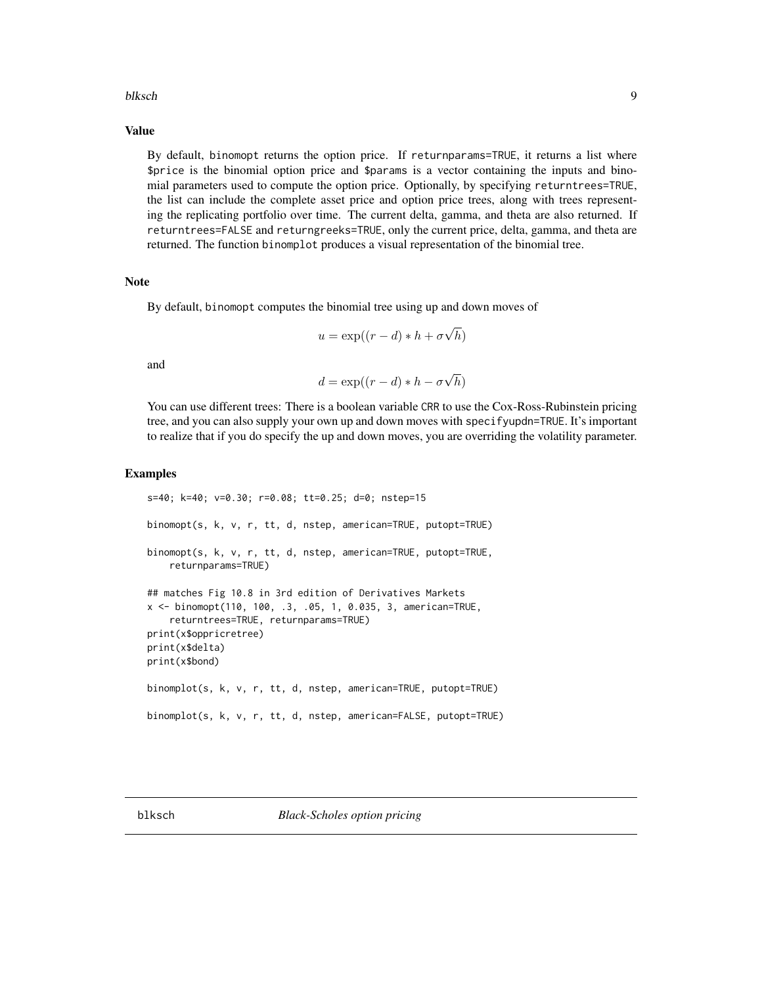#### <span id="page-8-0"></span>blksch 9

#### Value

By default, binomopt returns the option price. If returnparams=TRUE, it returns a list where \$price is the binomial option price and \$params is a vector containing the inputs and binomial parameters used to compute the option price. Optionally, by specifying returntrees=TRUE, the list can include the complete asset price and option price trees, along with trees representing the replicating portfolio over time. The current delta, gamma, and theta are also returned. If returntrees=FALSE and returngreeks=TRUE, only the current price, delta, gamma, and theta are returned. The function binomplot produces a visual representation of the binomial tree.

#### Note

By default, binomopt computes the binomial tree using up and down moves of

$$
u = \exp((r - d) * h + \sigma \sqrt{h})
$$

and

$$
d = \exp((r - d) * h - \sigma \sqrt{h})
$$

You can use different trees: There is a boolean variable CRR to use the Cox-Ross-Rubinstein pricing tree, and you can also supply your own up and down moves with specifyupdn=TRUE. It's important to realize that if you do specify the up and down moves, you are overriding the volatility parameter.

```
s=40; k=40; v=0.30; r=0.08; tt=0.25; d=0; nstep=15
binomopt(s, k, v, r, tt, d, nstep, american=TRUE, putopt=TRUE)
binomopt(s, k, v, r, tt, d, nstep, american=TRUE, putopt=TRUE,
   returnparams=TRUE)
## matches Fig 10.8 in 3rd edition of Derivatives Markets
x <- binomopt(110, 100, .3, .05, 1, 0.035, 3, american=TRUE,
    returntrees=TRUE, returnparams=TRUE)
print(x$oppricretree)
print(x$delta)
print(x$bond)
binomplot(s, k, v, r, tt, d, nstep, american=TRUE, putopt=TRUE)
binomplot(s, k, v, r, tt, d, nstep, american=FALSE, putopt=TRUE)
```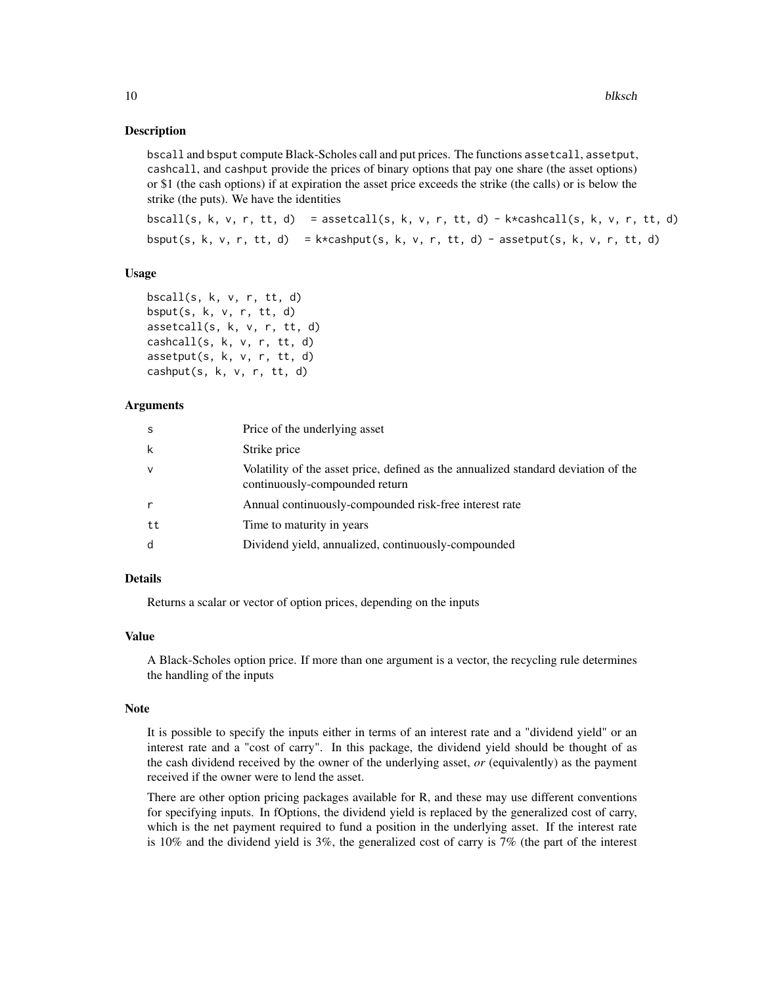#### Description

bscall and bsput compute Black-Scholes call and put prices. The functions assetcall, assetput, cashcall, and cashput provide the prices of binary options that pay one share (the asset options) or \$1 (the cash options) if at expiration the asset price exceeds the strike (the calls) or is below the strike (the puts). We have the identities

bscall(s, k, v, r, tt, d) = assetcall(s, k, v, r, tt, d) - k\*cashcall(s, k, v, r, tt, d) bsput(s, k, v, r, tt, d) =  $k \times \text{cashput}(s, k, v, r, tt, d)$  - assetput(s, k, v, r, tt, d)

#### Usage

bscall(s, k, v, r, tt, d) bsput $(s, k, v, r, tt, d)$ assetcall(s, k, v, r, tt, d) cashcall(s, k, v, r, tt, d) assetput(s, k, v, r, tt, d) cashput(s, k, v, r, tt, d)

#### Arguments

| S      | Price of the underlying asset                                                                                        |
|--------|----------------------------------------------------------------------------------------------------------------------|
| k      | Strike price                                                                                                         |
| $\vee$ | Volatility of the asset price, defined as the annualized standard deviation of the<br>continuously-compounded return |
| r      | Annual continuously-compounded risk-free interest rate                                                               |
| tt     | Time to maturity in years                                                                                            |
| d      | Dividend yield, annualized, continuously-compounded                                                                  |

#### Details

Returns a scalar or vector of option prices, depending on the inputs

#### Value

A Black-Scholes option price. If more than one argument is a vector, the recycling rule determines the handling of the inputs

#### **Note**

It is possible to specify the inputs either in terms of an interest rate and a "dividend yield" or an interest rate and a "cost of carry". In this package, the dividend yield should be thought of as the cash dividend received by the owner of the underlying asset, *or* (equivalently) as the payment received if the owner were to lend the asset.

There are other option pricing packages available for R, and these may use different conventions for specifying inputs. In fOptions, the dividend yield is replaced by the generalized cost of carry, which is the net payment required to fund a position in the underlying asset. If the interest rate is 10% and the dividend yield is 3%, the generalized cost of carry is 7% (the part of the interest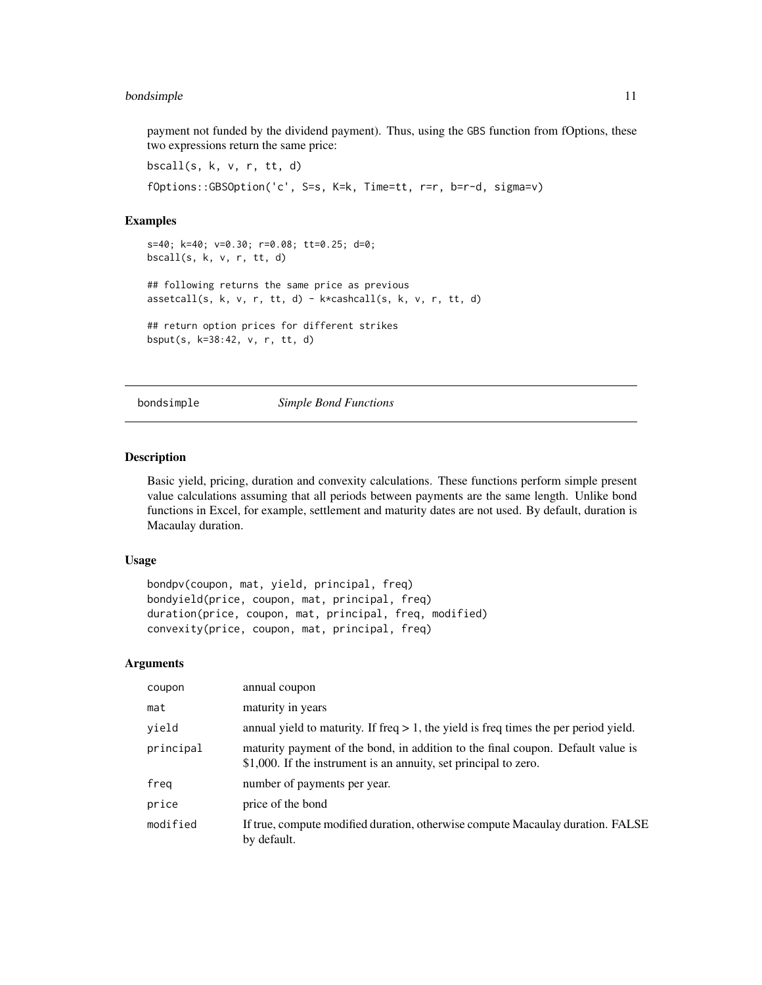#### <span id="page-10-0"></span>bondsimple that the contract of the contract of the contract of the contract of the contract of the contract of the contract of the contract of the contract of the contract of the contract of the contract of the contract o

payment not funded by the dividend payment). Thus, using the GBS function from fOptions, these two expressions return the same price:

bscall(s, k, v, r, tt, d) fOptions::GBSOption('c', S=s, K=k, Time=tt, r=r, b=r-d, sigma=v)

#### Examples

```
s=40; k=40; v=0.30; r=0.08; tt=0.25; d=0;
bscall(s, k, v, r, tt, d)
## following returns the same price as previous
assetcall(s, k, v, r, tt, d) - k*cashcall(s, k, v, r, tt, d)
## return option prices for different strikes
bsput(s, k=38:42, v, r, tt, d)
```
bondsimple *Simple Bond Functions*

#### Description

Basic yield, pricing, duration and convexity calculations. These functions perform simple present value calculations assuming that all periods between payments are the same length. Unlike bond functions in Excel, for example, settlement and maturity dates are not used. By default, duration is Macaulay duration.

#### Usage

```
bondpv(coupon, mat, yield, principal, freq)
bondyield(price, coupon, mat, principal, freq)
duration(price, coupon, mat, principal, freq, modified)
convexity(price, coupon, mat, principal, freq)
```
#### Arguments

| coupon    | annual coupon                                                                                                                                       |
|-----------|-----------------------------------------------------------------------------------------------------------------------------------------------------|
| mat       | maturity in years                                                                                                                                   |
| yield     | annual yield to maturity. If freq $> 1$ , the yield is freq times the per period yield.                                                             |
| principal | maturity payment of the bond, in addition to the final coupon. Default value is<br>\$1,000. If the instrument is an annuity, set principal to zero. |
| freq      | number of payments per year.                                                                                                                        |
| price     | price of the bond                                                                                                                                   |
| modified  | If true, compute modified duration, otherwise compute Macaulay duration. FALSE<br>by default.                                                       |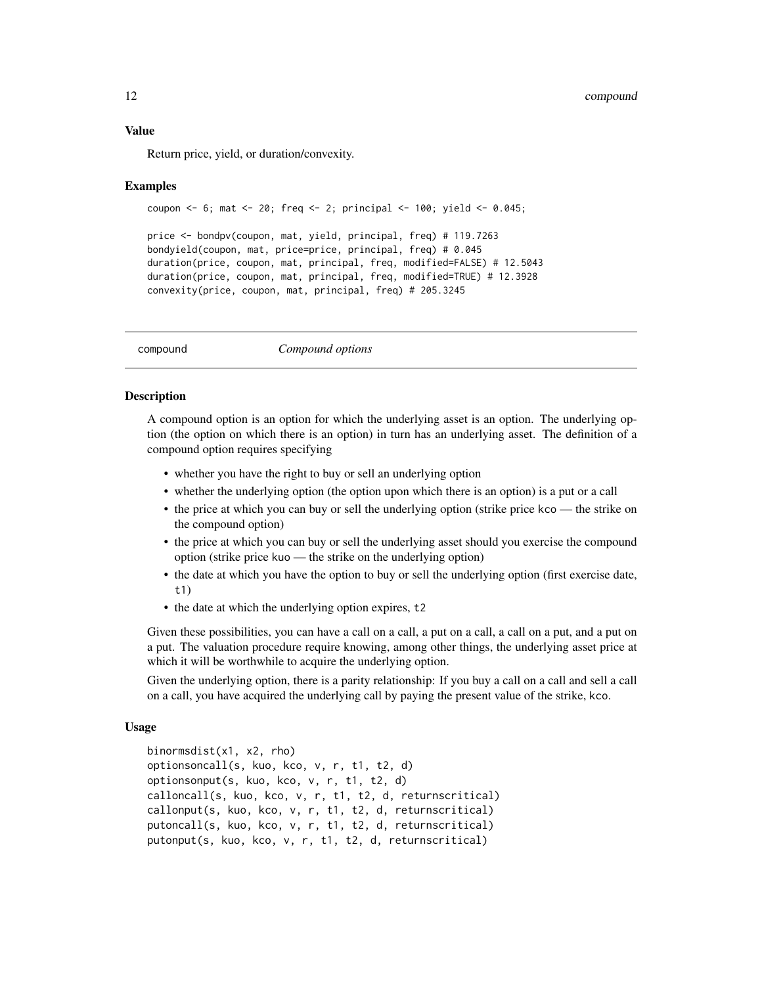#### <span id="page-11-0"></span>Value

Return price, yield, or duration/convexity.

#### Examples

```
coupon <- 6; mat <- 20; freq <- 2; principal <- 100; yield <- 0.045;
```

```
price <- bondpv(coupon, mat, yield, principal, freq) # 119.7263
bondyield(coupon, mat, price=price, principal, freq) # 0.045
duration(price, coupon, mat, principal, freq, modified=FALSE) # 12.5043
duration(price, coupon, mat, principal, freq, modified=TRUE) # 12.3928
convexity(price, coupon, mat, principal, freq) # 205.3245
```
compound *Compound options*

#### Description

A compound option is an option for which the underlying asset is an option. The underlying option (the option on which there is an option) in turn has an underlying asset. The definition of a compound option requires specifying

- whether you have the right to buy or sell an underlying option
- whether the underlying option (the option upon which there is an option) is a put or a call
- the price at which you can buy or sell the underlying option (strike price kco the strike on the compound option)
- the price at which you can buy or sell the underlying asset should you exercise the compound option (strike price kuo — the strike on the underlying option)
- the date at which you have the option to buy or sell the underlying option (first exercise date, t1)
- the date at which the underlying option expires, t2

Given these possibilities, you can have a call on a call, a put on a call, a call on a put, and a put on a put. The valuation procedure require knowing, among other things, the underlying asset price at which it will be worthwhile to acquire the underlying option.

Given the underlying option, there is a parity relationship: If you buy a call on a call and sell a call on a call, you have acquired the underlying call by paying the present value of the strike, kco.

#### Usage

```
binormsdist(x1, x2, rho)
optionsoncall(s, kuo, kco, v, r, t1, t2, d)
optionsonput(s, kuo, kco, v, r, t1, t2, d)
calloncall(s, kuo, kco, v, r, t1, t2, d, returnscritical)
callonput(s, kuo, kco, v, r, t1, t2, d, returnscritical)
putoncall(s, kuo, kco, v, r, t1, t2, d, returnscritical)
putonput(s, kuo, kco, v, r, t1, t2, d, returnscritical)
```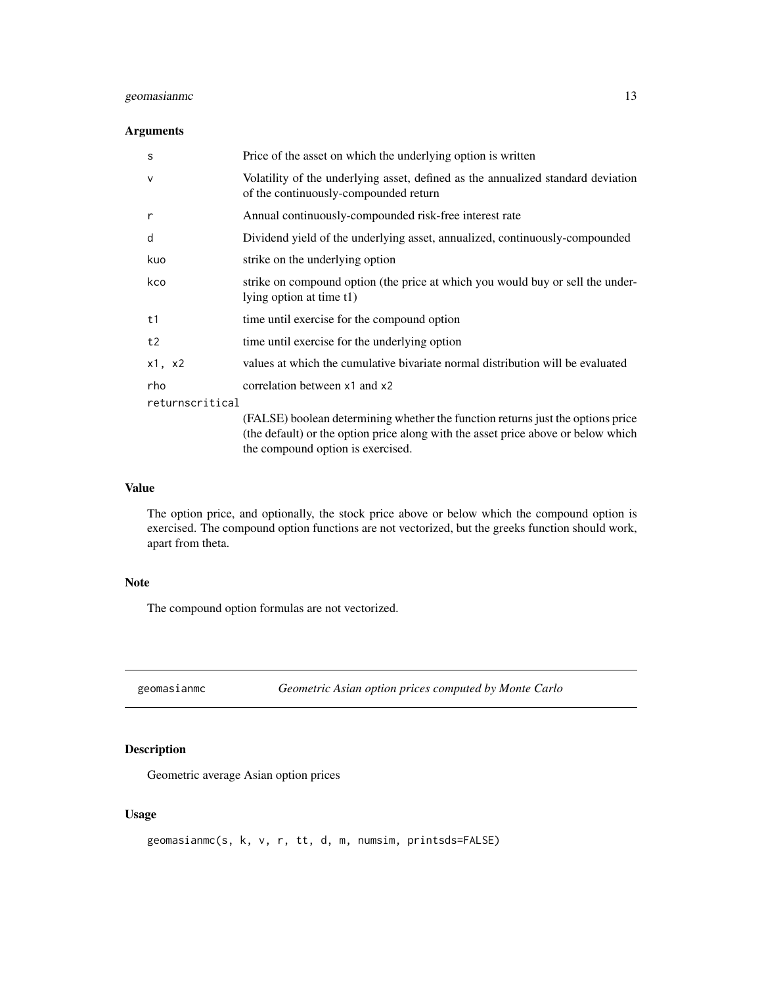#### <span id="page-12-0"></span>geomasianme and 13

#### Arguments

| S               | Price of the asset on which the underlying option is written                                                                                                         |
|-----------------|----------------------------------------------------------------------------------------------------------------------------------------------------------------------|
| $\vee$          | Volatility of the underlying asset, defined as the annualized standard deviation<br>of the continuously-compounded return                                            |
| r               | Annual continuously-compounded risk-free interest rate                                                                                                               |
| d               | Dividend yield of the underlying asset, annualized, continuously-compounded                                                                                          |
| kuo             | strike on the underlying option                                                                                                                                      |
| kco             | strike on compound option (the price at which you would buy or sell the under-<br>lying option at time t1)                                                           |
| t1              | time until exercise for the compound option                                                                                                                          |
| t2              | time until exercise for the underlying option                                                                                                                        |
| x1, x2          | values at which the cumulative bivariate normal distribution will be evaluated                                                                                       |
| rho             | correlation between x1 and x2                                                                                                                                        |
| returnscritical |                                                                                                                                                                      |
|                 | (FALSE) boolean determining whether the function returns just the options price<br>(the default) or the option price along with the asset price above or below which |

#### Value

The option price, and optionally, the stock price above or below which the compound option is exercised. The compound option functions are not vectorized, but the greeks function should work, apart from theta.

### Note

The compound option formulas are not vectorized.

<span id="page-12-1"></span>geomasianmc *Geometric Asian option prices computed by Monte Carlo*

#### Description

Geometric average Asian option prices

#### Usage

```
geomasianmc(s, k, v, r, tt, d, m, numsim, printsds=FALSE)
```
the compound option is exercised.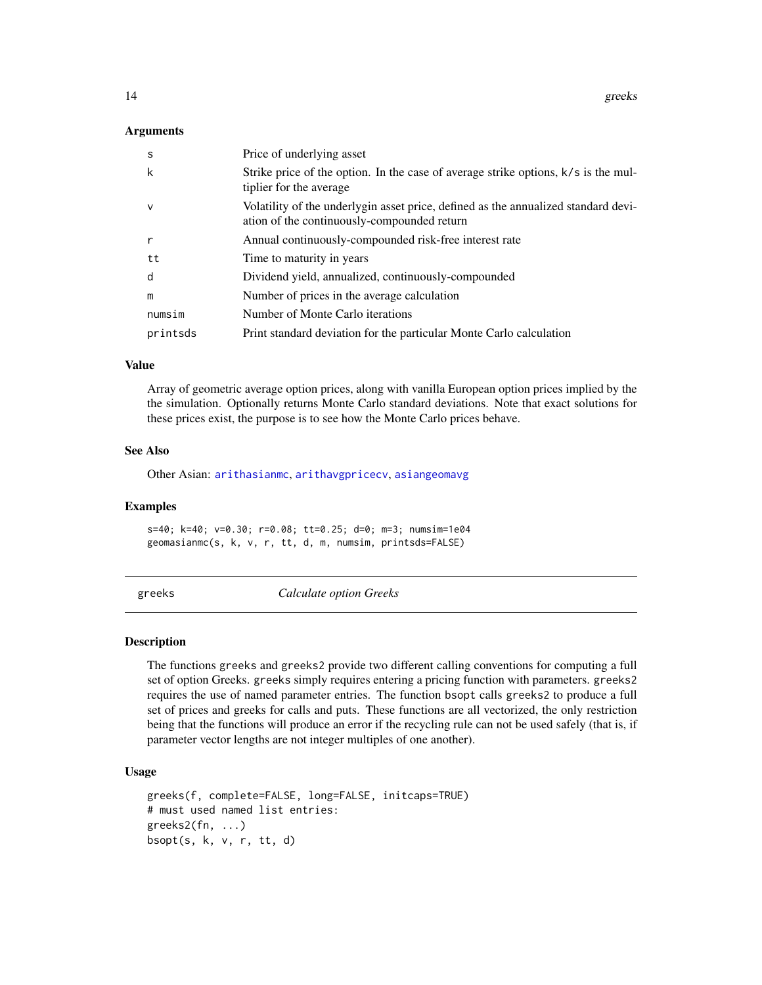<span id="page-13-0"></span>14 greeks

#### Arguments

| <sub>S</sub> | Price of underlying asset                                                                                                         |
|--------------|-----------------------------------------------------------------------------------------------------------------------------------|
| k            | Strike price of the option. In the case of average strike options, $k/s$ is the mul-<br>tiplier for the average                   |
| $\mathsf{V}$ | Volatility of the underlygin asset price, defined as the annualized standard devi-<br>ation of the continuously-compounded return |
| r            | Annual continuously-compounded risk-free interest rate                                                                            |
| tt           | Time to maturity in years                                                                                                         |
| d            | Dividend yield, annualized, continuously-compounded                                                                               |
| m            | Number of prices in the average calculation                                                                                       |
| numsim       | Number of Monte Carlo iterations                                                                                                  |
| printsds     | Print standard deviation for the particular Monte Carlo calculation                                                               |

#### Value

Array of geometric average option prices, along with vanilla European option prices implied by the the simulation. Optionally returns Monte Carlo standard deviations. Note that exact solutions for these prices exist, the purpose is to see how the Monte Carlo prices behave.

#### See Also

Other Asian: [arithasianmc](#page-1-1), [arithavgpricecv](#page-2-1), [asiangeomavg](#page-3-1)

#### Examples

s=40; k=40; v=0.30; r=0.08; tt=0.25; d=0; m=3; numsim=1e04 geomasianmc(s, k, v, r, tt, d, m, numsim, printsds=FALSE)

greeks *Calculate option Greeks*

#### Description

The functions greeks and greeks2 provide two different calling conventions for computing a full set of option Greeks. greeks simply requires entering a pricing function with parameters. greeks2 requires the use of named parameter entries. The function bsopt calls greeks2 to produce a full set of prices and greeks for calls and puts. These functions are all vectorized, the only restriction being that the functions will produce an error if the recycling rule can not be used safely (that is, if parameter vector lengths are not integer multiples of one another).

#### Usage

```
greeks(f, complete=FALSE, long=FALSE, initcaps=TRUE)
# must used named list entries:
greeks2(fn, ...)
bsopt(s, k, v, r, tt, d)
```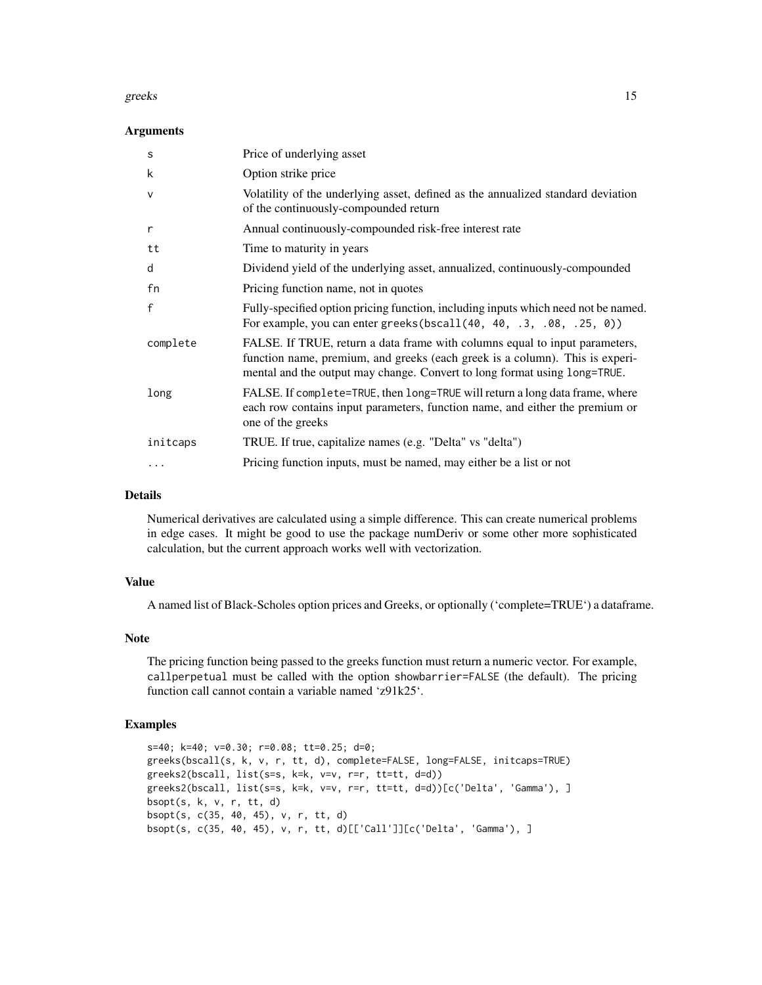#### greeks and the set of the set of the set of the set of the set of the set of the set of the set of the set of the set of the set of the set of the set of the set of the set of the set of the set of the set of the set of th

#### **Arguments**

| S            | Price of underlying asset                                                                                                                                                                                                                |
|--------------|------------------------------------------------------------------------------------------------------------------------------------------------------------------------------------------------------------------------------------------|
| k            | Option strike price                                                                                                                                                                                                                      |
| $\vee$       | Volatility of the underlying asset, defined as the annualized standard deviation<br>of the continuously-compounded return                                                                                                                |
| r            | Annual continuously-compounded risk-free interest rate                                                                                                                                                                                   |
| tt           | Time to maturity in years                                                                                                                                                                                                                |
| d            | Dividend yield of the underlying asset, annualized, continuously-compounded                                                                                                                                                              |
| fn           | Pricing function name, not in quotes                                                                                                                                                                                                     |
| $\mathsf{f}$ | Fully-specified option pricing function, including inputs which need not be named.<br>For example, you can enter greeks (bscall $(40, 40, .3, .08, .25, 0)$ )                                                                            |
| complete     | FALSE. If TRUE, return a data frame with columns equal to input parameters,<br>function name, premium, and greeks (each greek is a column). This is experi-<br>mental and the output may change. Convert to long format using long=TRUE. |
| long         | FALSE. If complete=TRUE, then long=TRUE will return a long data frame, where<br>each row contains input parameters, function name, and either the premium or<br>one of the greeks                                                        |
| initcaps     | TRUE. If true, capitalize names (e.g. "Delta" vs "delta")                                                                                                                                                                                |
| $\ddotsc$    | Pricing function inputs, must be named, may either be a list or not                                                                                                                                                                      |

#### Details

Numerical derivatives are calculated using a simple difference. This can create numerical problems in edge cases. It might be good to use the package numDeriv or some other more sophisticated calculation, but the current approach works well with vectorization.

#### Value

A named list of Black-Scholes option prices and Greeks, or optionally ('complete=TRUE') a dataframe.

#### Note

The pricing function being passed to the greeks function must return a numeric vector. For example, callperpetual must be called with the option showbarrier=FALSE (the default). The pricing function call cannot contain a variable named 'z91k25'.

```
s=40; k=40; v=0.30; r=0.08; tt=0.25; d=0;
greeks(bscall(s, k, v, r, tt, d), complete=FALSE, long=FALSE, initcaps=TRUE)
greeks2(bscall, list(s=s, k=k, v=v, r=r, tt=tt, d=d))
greeks2(bscall, list(s=s, k=k, v=v, r=r, tt=tt, d=d))[c('Delta', 'Gamma'), ]
bsopt(s, k, v, r, tt, d)
bsopt(s, c(35, 40, 45), v, r, tt, d)
bsopt(s, c(35, 40, 45), v, r, tt, d)[['Call']][c('Delta', 'Gamma'), ]
```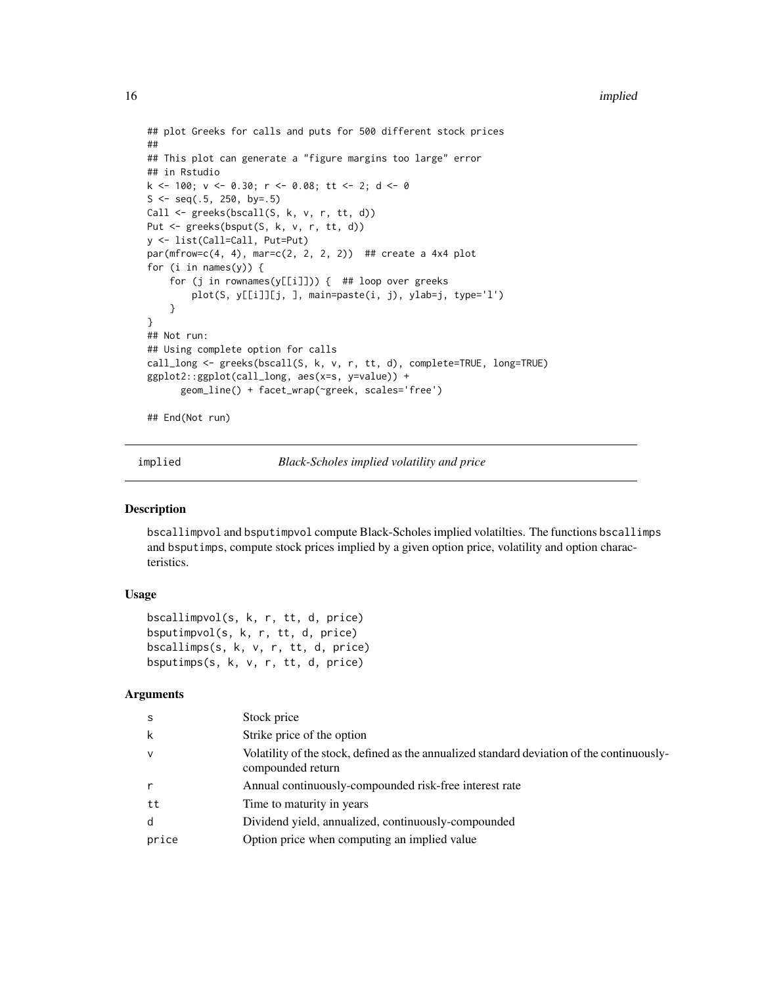```
## plot Greeks for calls and puts for 500 different stock prices
##
## This plot can generate a "figure margins too large" error
## in Rstudio
k <- 100; v <- 0.30; r <- 0.08; tt <- 2; d <- 0
S \leq -seq(.5, 250, by=.5)Call <- greeks(bscall(S, k, v, r, tt, d))
Put <- greeks(bsput(S, k, v, r, tt, d))
y <- list(Call=Call, Put=Put)
par(mfrow=c(4, 4), mar=c(2, 2, 2, 2)) ## create a 4x4 plot
for (i in names(y)) {
    for (j in rownames(y[[i]])) { ## loop over greeks
        plot(S, y[[i]][j, ], main=paste(i, j), ylab=j, type='l')
    }
}
## Not run:
## Using complete option for calls
call_long <- greeks(bscall(S, k, v, r, tt, d), complete=TRUE, long=TRUE)
ggplot2::ggplot(call_long, aes(x=s, y=value)) +
      geom_line() + facet_wrap(~greek, scales='free')
## End(Not run)
```
implied *Black-Scholes implied volatility and price*

#### Description

bscallimpvol and bsputimpvol compute Black-Scholes implied volatilties. The functions bscallimps and bsputimps, compute stock prices implied by a given option price, volatility and option characteristics.

#### Usage

```
bscallimpvol(s, k, r, tt, d, price)
bsputimpvol(s, k, r, tt, d, price)
bscallimps(s, k, v, r, tt, d, price)
bsputimps(s, k, v, r, tt, d, price)
```
#### Arguments

| S     | Stock price                                                                                                     |
|-------|-----------------------------------------------------------------------------------------------------------------|
| k     | Strike price of the option                                                                                      |
| v     | Volatility of the stock, defined as the annualized standard deviation of the continuously-<br>compounded return |
| r     | Annual continuously-compounded risk-free interest rate                                                          |
| tt    | Time to maturity in years                                                                                       |
| d     | Dividend yield, annualized, continuously-compounded                                                             |
| price | Option price when computing an implied value                                                                    |

<span id="page-15-0"></span>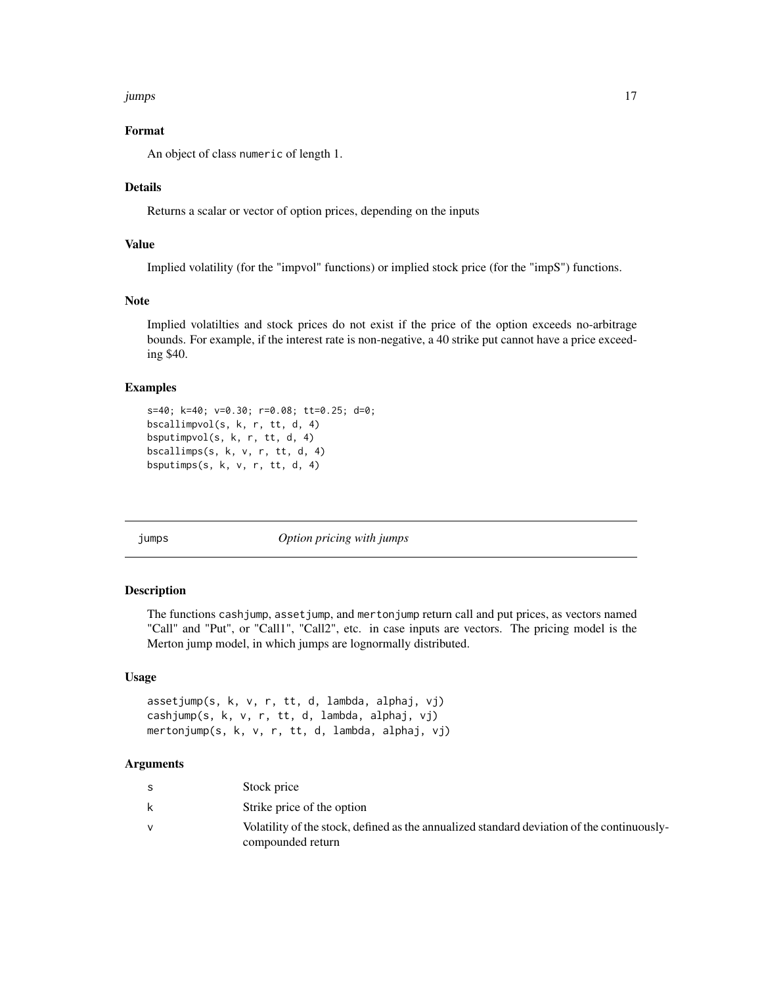#### <span id="page-16-0"></span>jumps 17

#### Format

An object of class numeric of length 1.

#### Details

Returns a scalar or vector of option prices, depending on the inputs

#### Value

Implied volatility (for the "impvol" functions) or implied stock price (for the "impS") functions.

#### Note

Implied volatilties and stock prices do not exist if the price of the option exceeds no-arbitrage bounds. For example, if the interest rate is non-negative, a 40 strike put cannot have a price exceeding \$40.

#### Examples

```
s=40; k=40; v=0.30; r=0.08; tt=0.25; d=0;
bscallimpvol(s, k, r, tt, d, 4)
bsputimpvol(s, k, r, tt, d, 4)
bscallimps(s, k, v, r, tt, d, 4)
bsputimps(s, k, v, r, tt, d, 4)
```
jumps *Option pricing with jumps*

#### Description

The functions cashjump, assetjump, and mertonjump return call and put prices, as vectors named "Call" and "Put", or "Call1", "Call2", etc. in case inputs are vectors. The pricing model is the Merton jump model, in which jumps are lognormally distributed.

#### Usage

```
assetjump(s, k, v, r, tt, d, lambda, alphaj, vj)
cashjump(s, k, v, r, tt, d, lambda, alphaj, vj)
mertonjump(s, k, v, r, tt, d, lambda, alphaj, vj)
```
#### Arguments

|   | Stock price                                                                                                     |
|---|-----------------------------------------------------------------------------------------------------------------|
| k | Strike price of the option                                                                                      |
|   | Volatility of the stock, defined as the annualized standard deviation of the continuously-<br>compounded return |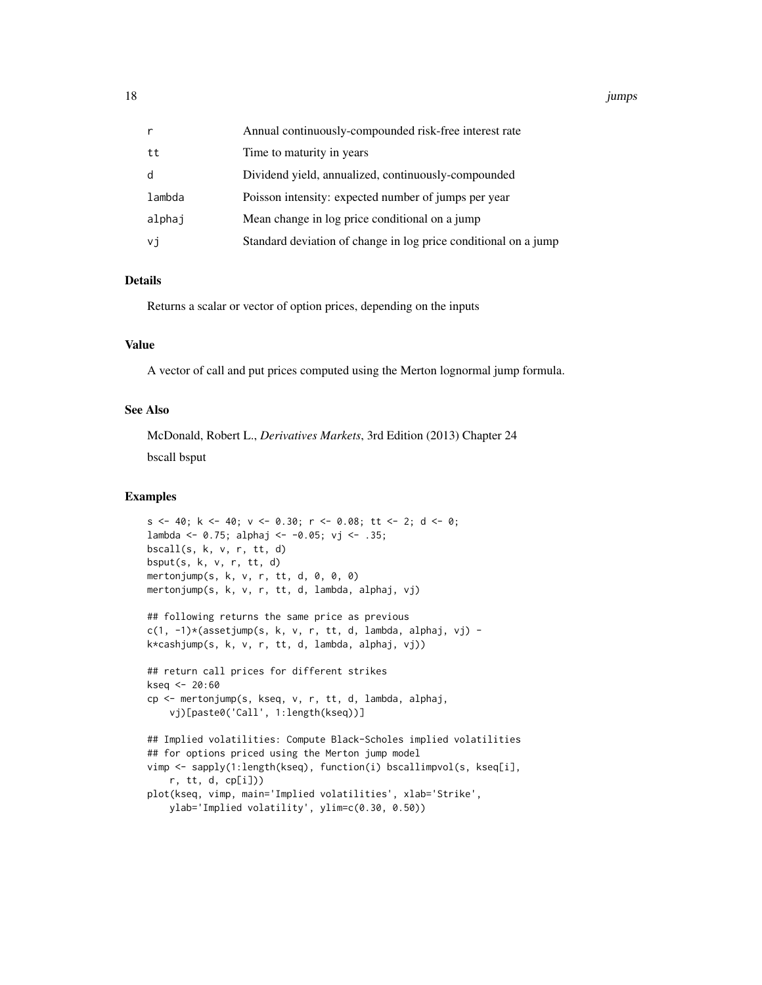18 *jumps* 

| r      | Annual continuously-compounded risk-free interest rate          |
|--------|-----------------------------------------------------------------|
| tt     | Time to maturity in years                                       |
| d      | Dividend yield, annualized, continuously-compounded             |
| lambda | Poisson intensity: expected number of jumps per year            |
| alphaj | Mean change in log price conditional on a jump                  |
| vj     | Standard deviation of change in log price conditional on a jump |

#### Details

Returns a scalar or vector of option prices, depending on the inputs

#### Value

A vector of call and put prices computed using the Merton lognormal jump formula.

#### See Also

McDonald, Robert L., *Derivatives Markets*, 3rd Edition (2013) Chapter 24 bscall bsput

```
s \leq 40; k \leq 40; v \leq 0.30; r \leq 0.08; tt \leq 2; d \leq 0;
lambda <- 0.75; alphaj <- -0.05; vj <- .35;
bscall(s, k, v, r, tt, d)
bsput(s, k, v, r, tt, d)
mertonjump(s, k, v, r, tt, d, 0, 0, 0)
mertonjump(s, k, v, r, tt, d, lambda, alphaj, vj)
## following returns the same price as previous
c(1, -1)*(assertjump(s, k, v, r, tt, d, lambda, alphaj, vj) -k*cashjump(s, k, v, r, tt, d, lambda, alphaj, vj))
## return call prices for different strikes
kseq <- 20:60
cp <- mertonjump(s, kseq, v, r, tt, d, lambda, alphaj,
    vj)[paste0('Call', 1:length(kseq))]
## Implied volatilities: Compute Black-Scholes implied volatilities
## for options priced using the Merton jump model
vimp <- sapply(1:length(kseq), function(i) bscallimpvol(s, kseq[i],
    r, tt, d, cp[i]))
plot(kseq, vimp, main='Implied volatilities', xlab='Strike',
    ylab='Implied volatility', ylim=c(0.30, 0.50))
```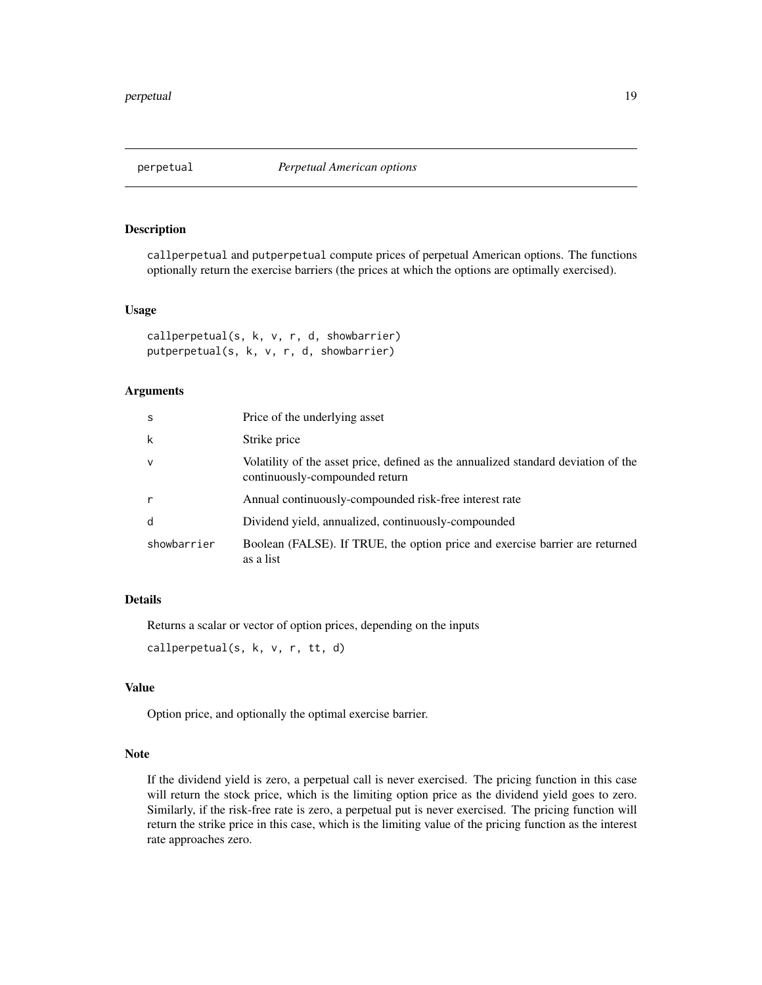<span id="page-18-0"></span>

#### Description

callperpetual and putperpetual compute prices of perpetual American options. The functions optionally return the exercise barriers (the prices at which the options are optimally exercised).

#### Usage

```
callperpetual(s, k, v, r, d, showbarrier)
putperpetual(s, k, v, r, d, showbarrier)
```
#### Arguments

| <sub>S</sub> | Price of the underlying asset                                                                                        |
|--------------|----------------------------------------------------------------------------------------------------------------------|
| k            | Strike price                                                                                                         |
| $\vee$       | Volatility of the asset price, defined as the annualized standard deviation of the<br>continuously-compounded return |
| $\mathsf{r}$ | Annual continuously-compounded risk-free interest rate                                                               |
| d            | Dividend yield, annualized, continuously-compounded                                                                  |
| showbarrier  | Boolean (FALSE). If TRUE, the option price and exercise barrier are returned<br>as a list                            |

#### Details

Returns a scalar or vector of option prices, depending on the inputs

callperpetual(s, k, v, r, tt, d)

#### Value

Option price, and optionally the optimal exercise barrier.

#### Note

If the dividend yield is zero, a perpetual call is never exercised. The pricing function in this case will return the stock price, which is the limiting option price as the dividend yield goes to zero. Similarly, if the risk-free rate is zero, a perpetual put is never exercised. The pricing function will return the strike price in this case, which is the limiting value of the pricing function as the interest rate approaches zero.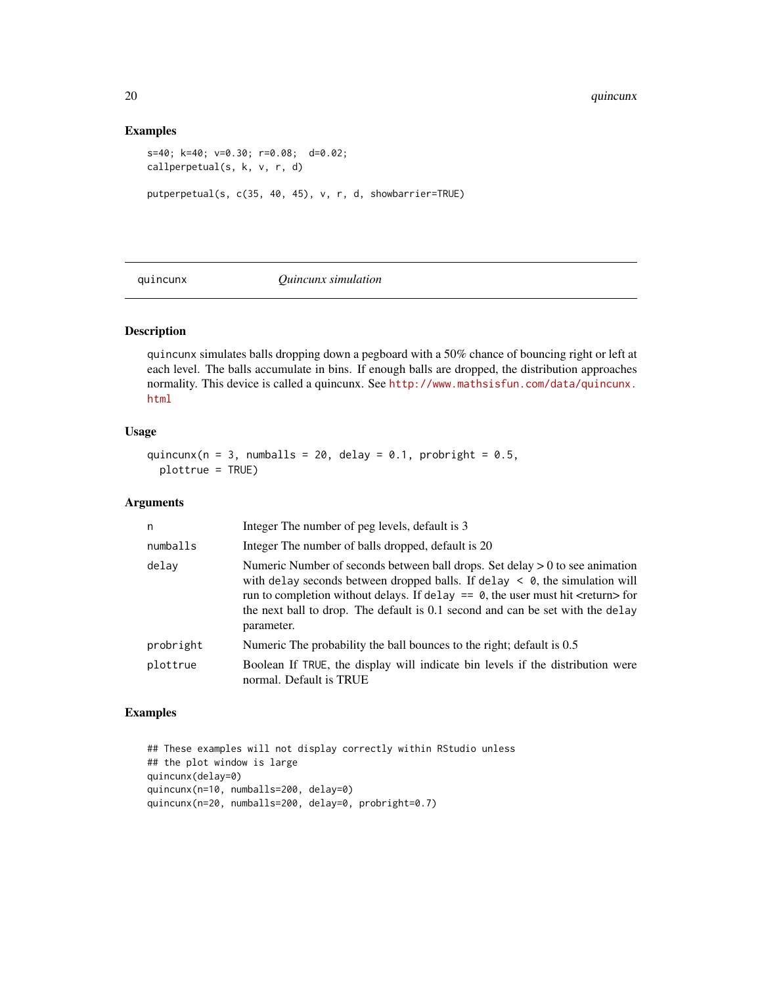#### Examples

```
s=40; k=40; v=0.30; r=0.08; d=0.02;
callperpetual(s, k, v, r, d)
putperpetual(s, c(35, 40, 45), v, r, d, showbarrier=TRUE)
```
quincunx *Quincunx simulation*

#### Description

quincunx simulates balls dropping down a pegboard with a 50% chance of bouncing right or left at each level. The balls accumulate in bins. If enough balls are dropped, the distribution approaches normality. This device is called a quincunx. See [http://www.mathsisfun.com/data/quincunx.](http://www.mathsisfun.com/data/quincunx.html) [html](http://www.mathsisfun.com/data/quincunx.html)

#### Usage

quincunx( $n = 3$ , numballs = 20, delay = 0.1, probright = 0.5, plottrue = TRUE)

#### Arguments

| n         | Integer The number of peg levels, default is 3                                                                                                                                                                                                                                                                                                                                    |
|-----------|-----------------------------------------------------------------------------------------------------------------------------------------------------------------------------------------------------------------------------------------------------------------------------------------------------------------------------------------------------------------------------------|
| numballs  | Integer The number of balls dropped, default is 20                                                                                                                                                                                                                                                                                                                                |
| delay     | Numeric Number of seconds between ball drops. Set delay $> 0$ to see animation<br>with delay seconds between dropped balls. If delay $\langle 0, 0 \rangle$ , the simulation will<br>run to completion without delays. If delay $==$ 0, the user must hit <return> for<br/>the next ball to drop. The default is 0.1 second and can be set with the delay<br/>parameter.</return> |
| probright | Numeric The probability the ball bounces to the right; default is 0.5                                                                                                                                                                                                                                                                                                             |
| plottrue  | Boolean If TRUE, the display will indicate bin levels if the distribution were<br>normal. Default is TRUE                                                                                                                                                                                                                                                                         |

```
## These examples will not display correctly within RStudio unless
## the plot window is large
quincunx(delay=0)
quincunx(n=10, numballs=200, delay=0)
quincunx(n=20, numballs=200, delay=0, probright=0.7)
```
<span id="page-19-0"></span>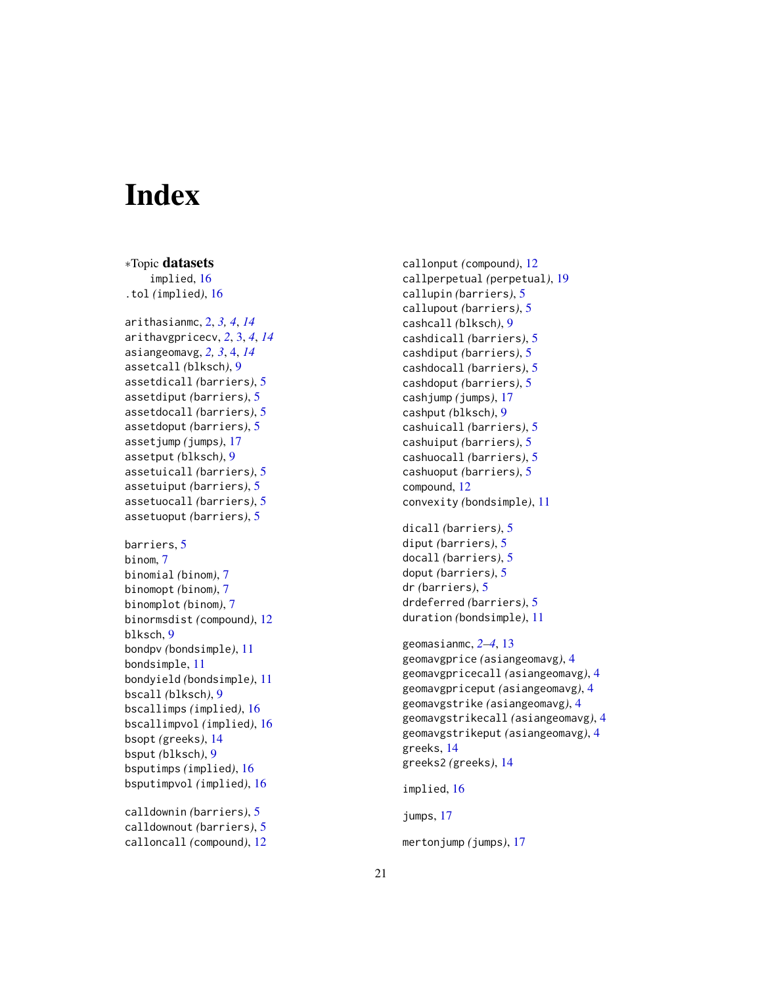# <span id="page-20-0"></span>**Index**

∗Topic datasets implied , [16](#page-15-0) .tol *(*implied *)* , [16](#page-15-0) arithasianmc , [2](#page-1-0) , *[3](#page-2-0) , [4](#page-3-0)* , *[14](#page-13-0)* arithavgpricecv , *[2](#page-1-0)* , [3](#page-2-0) , *[4](#page-3-0)* , *[14](#page-13-0)* asiangeomavg , *[2](#page-1-0) , [3](#page-2-0)* , [4](#page-3-0) , *[14](#page-13-0)* assetcall *(*blksch *)* , [9](#page-8-0) assetdicall *(*barriers *)* , [5](#page-4-0) assetdiput *(*barriers *)* , [5](#page-4-0) assetdocall *(*barriers *)* , [5](#page-4-0) assetdoput *(*barriers *)* , [5](#page-4-0) assetjump *(*jumps *)* , [17](#page-16-0) assetput *(*blksch *)* , [9](#page-8-0) assetuicall *(*barriers *)* , [5](#page-4-0) assetuiput *(*barriers *)* , [5](#page-4-0) assetuocall *(*barriers *)* , [5](#page-4-0) assetuoput *(*barriers *)* , [5](#page-4-0) barriers , [5](#page-4-0) binom , [7](#page-6-0) binomial *(*binom *)* , [7](#page-6-0) binomopt *(*binom *)* , [7](#page-6-0) binomplot *(*binom *)* , [7](#page-6-0) binormsdist *(*compound *)* , [12](#page-11-0) blksch , [9](#page-8-0) bondpv *(*bondsimple *)* , [11](#page-10-0) bondsimple , [11](#page-10-0) bondyield *(*bondsimple *)* , [11](#page-10-0) bscall *(*blksch *)* , [9](#page-8-0) bscallimps *(*implied *)* , [16](#page-15-0) bscallimpvol *(*implied *)* , [16](#page-15-0) bsopt *(*greeks *)* , [14](#page-13-0) bsput *(*blksch *)* , [9](#page-8-0) bsputimps *(*implied *)* , [16](#page-15-0) bsputimpvol *(*implied *)* , [16](#page-15-0) calldownin *(*barriers *)* , [5](#page-4-0)

calldownout *(*barriers *)* , [5](#page-4-0) calloncall *(*compound *)* , [12](#page-11-0) callonput *(*compound *)* , [12](#page-11-0) callperpetual *(*perpetual *)* , [19](#page-18-0) callupin *(*barriers *)* , [5](#page-4-0) callupout *(*barriers *)* , [5](#page-4-0) cashcall *(*blksch *)* , [9](#page-8-0) cashdicall *(*barriers *)* , [5](#page-4-0) cashdiput *(*barriers *)* , [5](#page-4-0) cashdocall *(*barriers *)* , [5](#page-4-0) cashdoput *(*barriers *)* , [5](#page-4-0) cashjump *(*jumps *)* , [17](#page-16-0) cashput *(*blksch *)* , [9](#page-8-0) cashuicall *(*barriers *)* , [5](#page-4-0) cashuiput *(*barriers *)* , [5](#page-4-0) cashuocall *(*barriers *)* , [5](#page-4-0) cashuoput *(*barriers *)* , [5](#page-4-0) compound , [12](#page-11-0) convexity *(*bondsimple *)* , [11](#page-10-0) dicall *(*barriers *)* , [5](#page-4-0) diput *(*barriers *)* , [5](#page-4-0) docall *(*barriers *)* , [5](#page-4-0) doput *(*barriers *)* , [5](#page-4-0) dr *(*barriers *)* , [5](#page-4-0) drdeferred *(*barriers *)* , [5](#page-4-0)

duration *(*bondsimple *)* , [11](#page-10-0) geomasianmc , *[2](#page-1-0) [–4](#page-3-0)* , [13](#page-12-0) geomavgprice *(*asiangeomavg *)* , [4](#page-3-0) geomavgpricecall *(*asiangeomavg *)* , [4](#page-3-0) geomavgpriceput *(*asiangeomavg *)* , [4](#page-3-0) geomavgstrike *(*asiangeomavg *)* , [4](#page-3-0) geomavgstrikecall *(*asiangeomavg *)* , [4](#page-3-0) geomavgstrikeput *(*asiangeomavg *)* , [4](#page-3-0) greeks , [14](#page-13-0)

greeks2 *(*greeks *)* , [14](#page-13-0)

implied , [16](#page-15-0)

jumps , [17](#page-16-0)

mertonjump *(*jumps *)* , [17](#page-16-0)